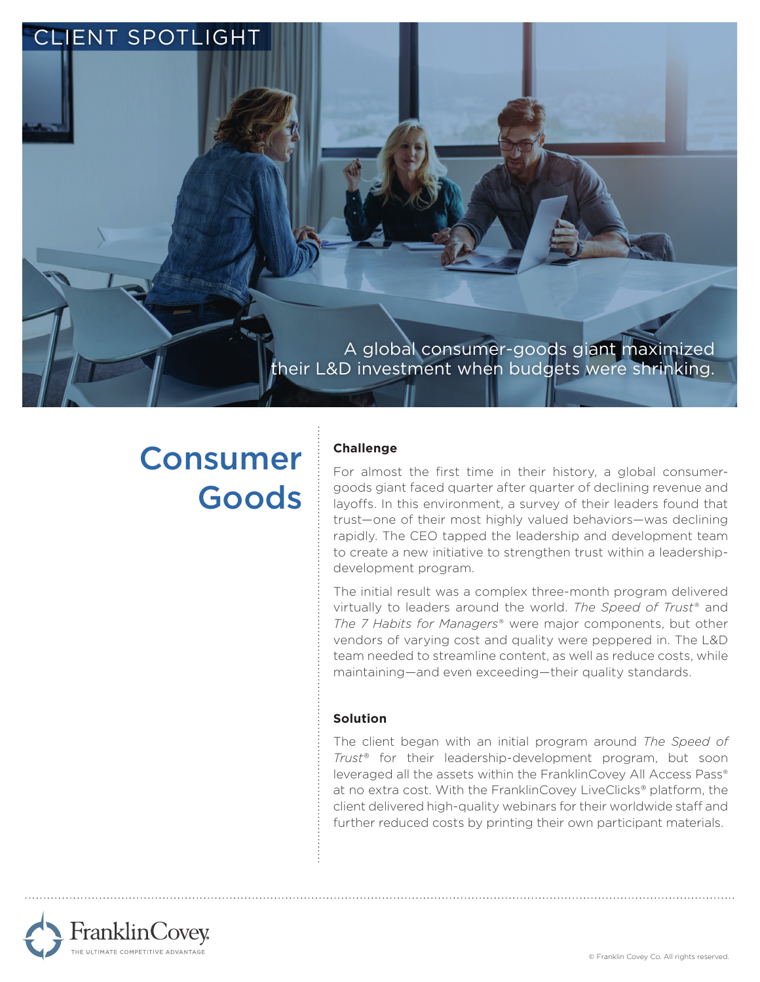

# Consumer Goods

# **Challenge**

For almost the first time in their history, a global consumergoods giant faced quarter after quarter of declining revenue and layoffs. In this environment, a survey of their leaders found that trust—one of their most highly valued behaviors—was declining rapidly. The CEO tapped the leadership and development team to create a new initiative to strengthen trust within a leadershipdevelopment program.

The initial result was a complex three-month program delivered virtually to leaders around the world. *The Speed of Trust*® and *The 7 Habits for Managers*® were major components, but other vendors of varying cost and quality were peppered in. The L&D team needed to streamline content, as well as reduce costs, while maintaining—and even exceeding—their quality standards.

# **Solution**

The client began with an initial program around *The Speed of Trust*® for their leadership-development program, but soon leveraged all the assets within the FranklinCovey All Access Pass® at no extra cost. With the FranklinCovey LiveClicks*®* platform, the client delivered high-quality webinars for their worldwide staff and further reduced costs by printing their own participant materials.